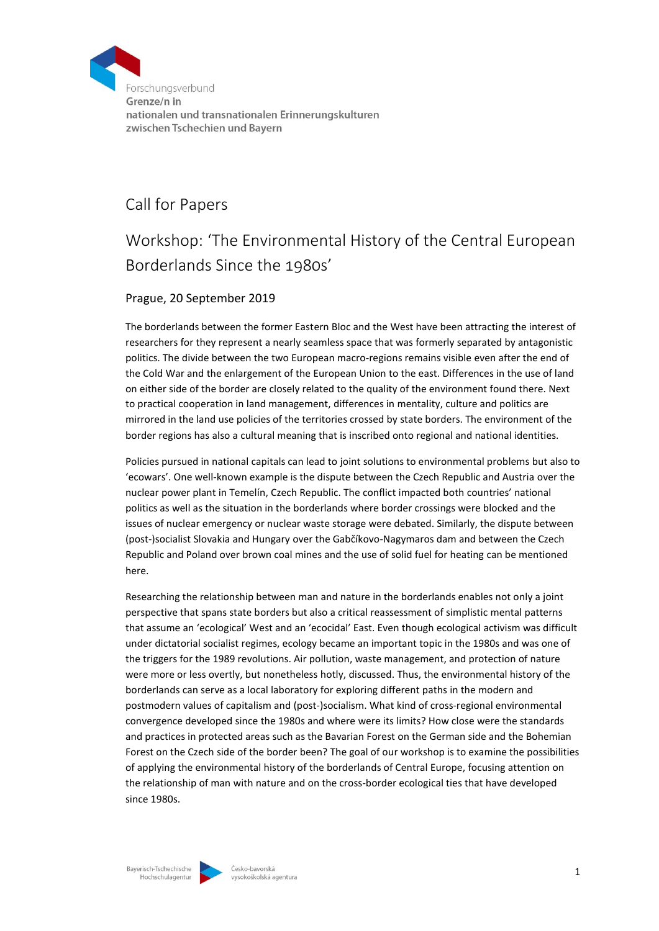

## Call for Papers

## Workshop: 'The Environmental History of the Central European Borderlands Since the 1980s'

## Prague, 20 September 2019

The borderlands between the former Eastern Bloc and the West have been attracting the interest of researchers for they represent a nearly seamless space that was formerly separated by antagonistic politics. The divide between the two European macro-regions remains visible even after the end of the Cold War and the enlargement of the European Union to the east. Differences in the use of land on either side of the border are closely related to the quality of the environment found there. Next to practical cooperation in land management, differences in mentality, culture and politics are mirrored in the land use policies of the territories crossed by state borders. The environment of the border regions has also a cultural meaning that is inscribed onto regional and national identities.

Policies pursued in national capitals can lead to joint solutions to environmental problems but also to 'ecowars'. One well-known example is the dispute between the Czech Republic and Austria over the nuclear power plant in Temelín, Czech Republic. The conflict impacted both countries' national politics as well as the situation in the borderlands where border crossings were blocked and the issues of nuclear emergency or nuclear waste storage were debated. Similarly, the dispute between (post-)socialist Slovakia and Hungary over the Gabčíkovo-Nagymaros dam and between the Czech Republic and Poland over brown coal mines and the use of solid fuel for heating can be mentioned here.

Researching the relationship between man and nature in the borderlands enables not only a joint perspective that spans state borders but also a critical reassessment of simplistic mental patterns that assume an 'ecological' West and an 'ecocidal' East. Even though ecological activism was difficult under dictatorial socialist regimes, ecology became an important topic in the 1980s and was one of the triggers for the 1989 revolutions. Air pollution, waste management, and protection of nature were more or less overtly, but nonetheless hotly, discussed. Thus, the environmental history of the borderlands can serve as a local laboratory for exploring different paths in the modern and postmodern values of capitalism and (post-)socialism. What kind of cross-regional environmental convergence developed since the 1980s and where were its limits? How close were the standards and practices in protected areas such as the Bavarian Forest on the German side and the Bohemian Forest on the Czech side of the border been? The goal of our workshop is to examine the possibilities of applying the environmental history of the borderlands of Central Europe, focusing attention on the relationship of man with nature and on the cross-border ecological ties that have developed since 1980s.